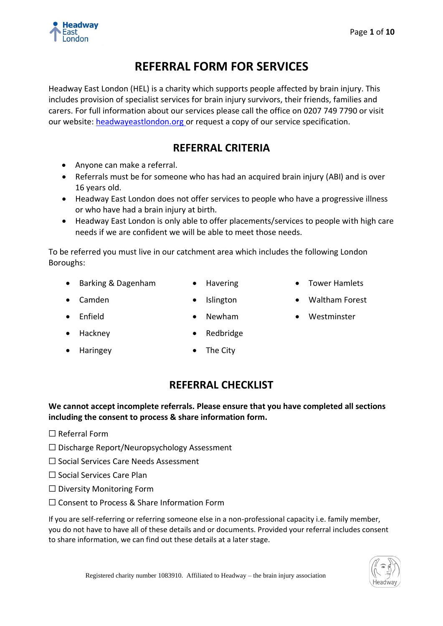

# **REFERRAL FORM FOR SERVICES**

Headway East London (HEL) is a charity which supports people affected by brain injury. This includes provision of specialist services for brain injury survivors, their friends, families and carers. For full information about our services please call the office on 0207 749 7790 or visit our website: [headwayeastlondon.org](http://headwayeastlondon.org/) or request a copy of our service specification.

# **REFERRAL CRITERIA**

- Anyone can make a referral.
- Referrals must be for someone who has had an acquired brain injury (ABI) and is over 16 years old.
- Headway East London does not offer services to people who have a progressive illness or who have had a brain injury at birth.
- Headway East London is only able to offer placements/services to people with high care needs if we are confident we will be able to meet those needs.

To be referred you must live in our catchment area which includes the following London Boroughs:

- Barking & Dagenham Havering • Tower Hamlets
	-
- 
- Camden Islington Waltham Forest
- 
- 

- 
- Enfield Newham Westminster
- Hackney Redbridge
- Haringey **•** The City

# **REFERRAL CHECKLIST**

**We cannot accept incomplete referrals. Please ensure that you have completed all sections including the consent to process & share information form.** 

- ☐ Referral Form
- ☐ Discharge Report/Neuropsychology Assessment
- ☐ Social Services Care Needs Assessment
- ☐ Social Services Care Plan
- ☐ Diversity Monitoring Form
- ☐ Consent to Process & Share Information Form

If you are self-referring or referring someone else in a non-professional capacity i.e. family member, you do not have to have all of these details and or documents. Provided your referral includes consent to share information, we can find out these details at a later stage.

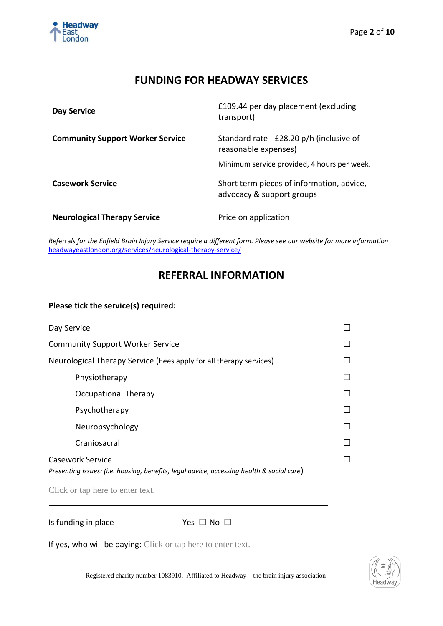

### **FUNDING FOR HEADWAY SERVICES**

| Day Service                             | £109.44 per day placement (excluding<br>transport)                                                              |
|-----------------------------------------|-----------------------------------------------------------------------------------------------------------------|
| <b>Community Support Worker Service</b> | Standard rate - £28.20 p/h (inclusive of<br>reasonable expenses)<br>Minimum service provided, 4 hours per week. |
| <b>Casework Service</b>                 | Short term pieces of information, advice,<br>advocacy & support groups                                          |
| <b>Neurological Therapy Service</b>     | Price on application                                                                                            |

*Ref*erra*ls for the Enfield Brain Injury Service require a different form. Please see our website for more information* [headwayeastlondon.org/services/neurological-therapy-service/](https://headwayeastlondon.org/services/neurological-therapy-service/)

# **REFERRAL INFORMATION**

### **Please tick the service(s) required:**

| Day Service                                                                                                   |        |
|---------------------------------------------------------------------------------------------------------------|--------|
| <b>Community Support Worker Service</b>                                                                       |        |
| Neurological Therapy Service (Fees apply for all therapy services)                                            | $\Box$ |
| Physiotherapy                                                                                                 | $\Box$ |
| Occupational Therapy                                                                                          |        |
| Psychotherapy                                                                                                 |        |
| Neuropsychology                                                                                               |        |
| Craniosacral                                                                                                  |        |
| Casework Service<br>Presenting issues: (i.e. housing, benefits, legal advice, accessing health & social care) |        |

Click or tap here to enter text.

Is funding in place Yes □ No □

If yes, who will be paying: Click or tap here to enter text.

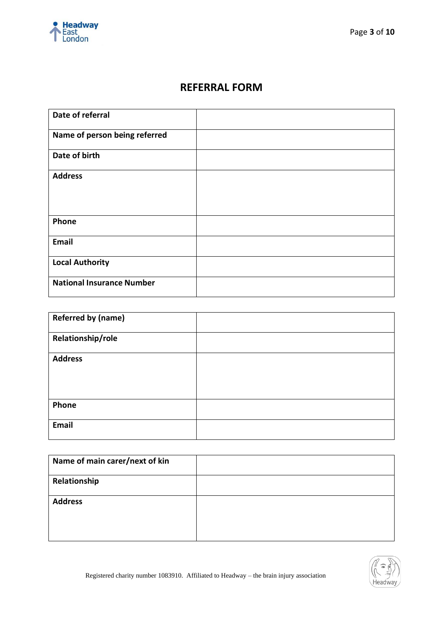

## **REFERRAL FORM**

| Date of referral                 |  |
|----------------------------------|--|
| Name of person being referred    |  |
| Date of birth                    |  |
| <b>Address</b>                   |  |
| Phone                            |  |
| <b>Email</b>                     |  |
| <b>Local Authority</b>           |  |
| <b>National Insurance Number</b> |  |

| <b>Referred by (name)</b> |  |
|---------------------------|--|
| Relationship/role         |  |
| <b>Address</b>            |  |
| Phone                     |  |
| Email                     |  |

| Name of main carer/next of kin |  |
|--------------------------------|--|
| Relationship                   |  |
| <b>Address</b>                 |  |

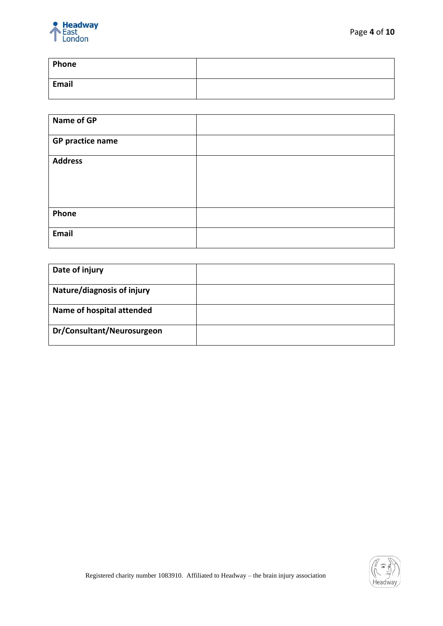

| Phone |  |
|-------|--|
| Email |  |

| Name of GP              |  |
|-------------------------|--|
| <b>GP practice name</b> |  |
| <b>Address</b>          |  |
| Phone                   |  |
| Email                   |  |

| Date of injury                    |  |
|-----------------------------------|--|
| <b>Nature/diagnosis of injury</b> |  |
| Name of hospital attended         |  |
| Dr/Consultant/Neurosurgeon        |  |

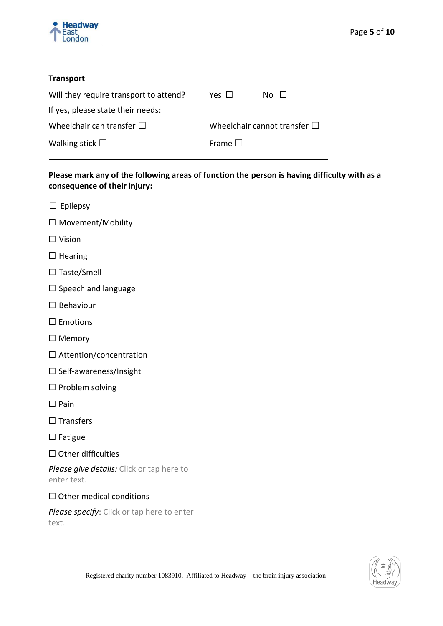

### **Transport**

| Will they require transport to attend? | Yes $\Box$   | No II                                |
|----------------------------------------|--------------|--------------------------------------|
| If yes, please state their needs:      |              |                                      |
| Wheelchair can transfer $\square$      |              | Wheelchair cannot transfer $\square$ |
| Walking stick $\square$                | Frame $\Box$ |                                      |

### **Please mark any of the following areas of function the person is having difficulty with as a consequence of their injury:**

- $\square$  Epilepsy
- ☐ Movement/Mobility
- ☐ Vision
- □ Hearing
- ☐ Taste/Smell
- ☐ Speech and language
- ☐ Behaviour
- □ Emotions
- ☐ Memory
- □ Attention/concentration
- ☐ Self-awareness/Insight
- □ Problem solving
- ☐ Pain
- ☐ Transfers
- ☐ Fatigue
- ☐ Other difficulties

*Please give details:* Click or tap here to enter text.

### $\Box$  Other medical conditions

*Please specify*: Click or tap here to enter text.

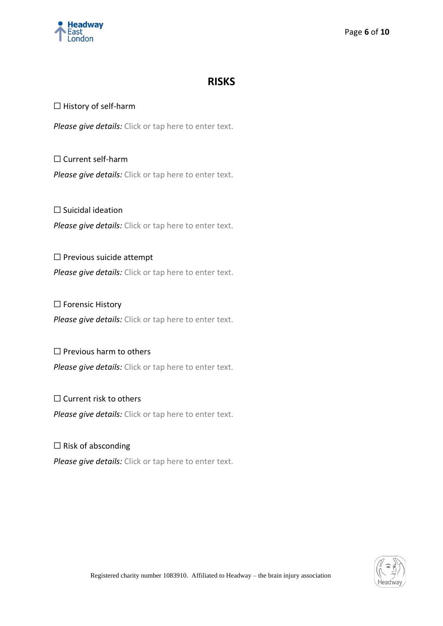

### **RISKS**

### □ History of self-harm

*Please give details:* Click or tap here to enter text.

☐ Current self-harm *Please give details:* Click or tap here to enter text.

☐ Suicidal ideation *Please give details:* Click or tap here to enter text.

☐ Previous suicide attempt *Please give details:* Click or tap here to enter text.

□ Forensic History *Please give details:* Click or tap here to enter text.

□ Previous harm to others *Please give details:* Click or tap here to enter text.

 $\Box$  Current risk to others *Please give details:* Click or tap here to enter text.

 $\Box$  Risk of absconding *Please give details:* Click or tap here to enter text.

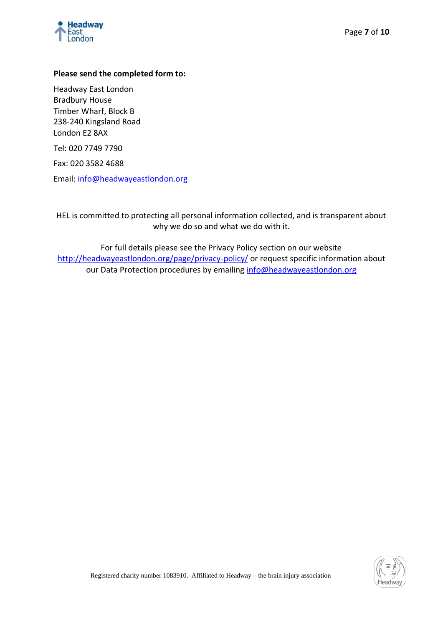

### **Please send the completed form to:**

Headway East London Bradbury House Timber Wharf, Block B 238-240 Kingsland Road London E2 8AX

Tel: 020 7749 7790

Fax: 020 3582 4688

Email: [info@headwayeastlondon.org](mailto:info@headwayeastlondon.org)

HEL is committed to protecting all personal information collected, and is transparent about why we do so and what we do with it.

For full details please see the Privacy Policy section on our website <http://headwayeastlondon.org/page/privacy-policy/> or request specific information about our Data Protection procedures by emailing [info@headwayeastlondon.org](mailto:info@headwayeastlondon.org)

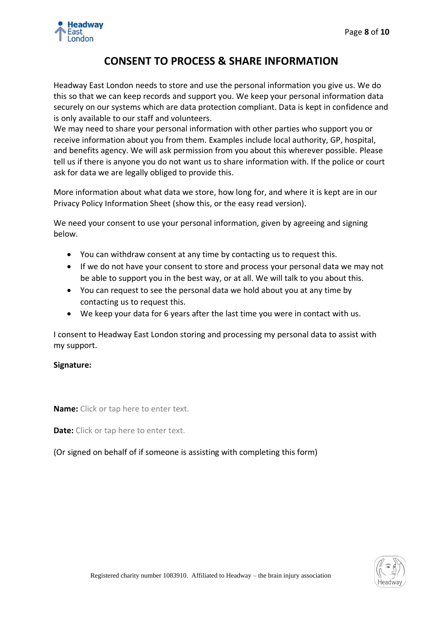

### **CONSENT TO PROCESS & SHARE INFORMATION**

Headway East London needs to store and use the personal information you give us. We do this so that we can keep records and support you. We keep your personal information data securely on our systems which are data protection compliant. Data is kept in confidence and is only available to our staff and volunteers.

We may need to share your personal information with other parties who support you or receive information about you from them. Examples include local authority, GP, hospital, and benefits agency. We will ask permission from you about this wherever possible. Please tell us if there is anyone you do not want us to share information with. If the police or court ask for data we are legally obliged to provide this.

More information about what data we store, how long for, and where it is kept are in our Privacy Policy Information Sheet (show this, or the easy read version).

We need your consent to use your personal information, given by agreeing and signing below.

- You can withdraw consent at any time by contacting us to request this.
- If we do not have your consent to store and process your personal data we may not be able to support you in the best way, or at all. We will talk to you about this.
- You can request to see the personal data we hold about you at any time by contacting us to request this.
- We keep your data for 6 years after the last time you were in contact with us.

I consent to Headway East London storing and processing my personal data to assist with my support.

### **Signature:**

**Name:** Click or tap here to enter text.

**Date:** Click or tap here to enter text.

(Or signed on behalf of if someone is assisting with completing this form)

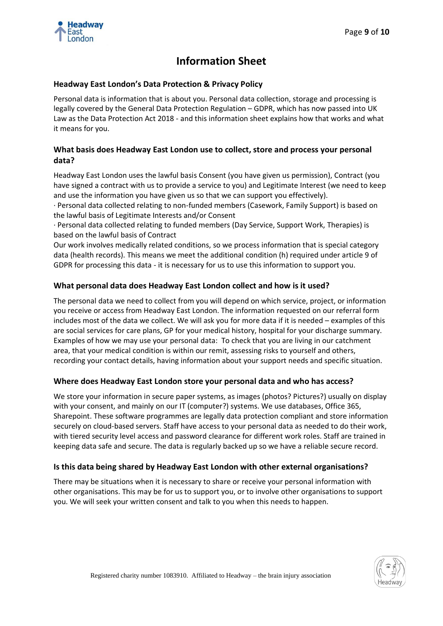

## **Information Sheet**

### **Headway East London's Data Protection & Privacy Policy**

Personal data is information that is about you. Personal data collection, storage and processing is legally covered by the General Data Protection Regulation – GDPR, which has now passed into UK Law as the Data Protection Act 2018 - and this information sheet explains how that works and what it means for you.

### **What basis does Headway East London use to collect, store and process your personal data?**

Headway East London uses the lawful basis Consent (you have given us permission), Contract (you have signed a contract with us to provide a service to you) and Legitimate Interest (we need to keep and use the information you have given us so that we can support you effectively).

· Personal data collected relating to non-funded members (Casework, Family Support) is based on the lawful basis of Legitimate Interests and/or Consent

· Personal data collected relating to funded members (Day Service, Support Work, Therapies) is based on the lawful basis of Contract

Our work involves medically related conditions, so we process information that is special category data (health records). This means we meet the additional condition (h) required under article 9 of GDPR for processing this data - it is necessary for us to use this information to support you.

#### **What personal data does Headway East London collect and how is it used?**

The personal data we need to collect from you will depend on which service, project, or information you receive or access from Headway East London. The information requested on our referral form includes most of the data we collect. We will ask you for more data if it is needed – examples of this are social services for care plans, GP for your medical history, hospital for your discharge summary. Examples of how we may use your personal data: To check that you are living in our catchment area, that your medical condition is within our remit, assessing risks to yourself and others, recording your contact details, having information about your support needs and specific situation.

#### **Where does Headway East London store your personal data and who has access?**

We store your information in secure paper systems, as images (photos? Pictures?) usually on display with your consent, and mainly on our IT (computer?) systems. We use databases, Office 365, Sharepoint. These software programmes are legally data protection compliant and store information securely on cloud-based servers. Staff have access to your personal data as needed to do their work, with tiered security level access and password clearance for different work roles. Staff are trained in keeping data safe and secure. The data is regularly backed up so we have a reliable secure record.

### **Is this data being shared by Headway East London with other external organisations?**

There may be situations when it is necessary to share or receive your personal information with other organisations. This may be for us to support you, or to involve other organisations to support you. We will seek your written consent and talk to you when this needs to happen.